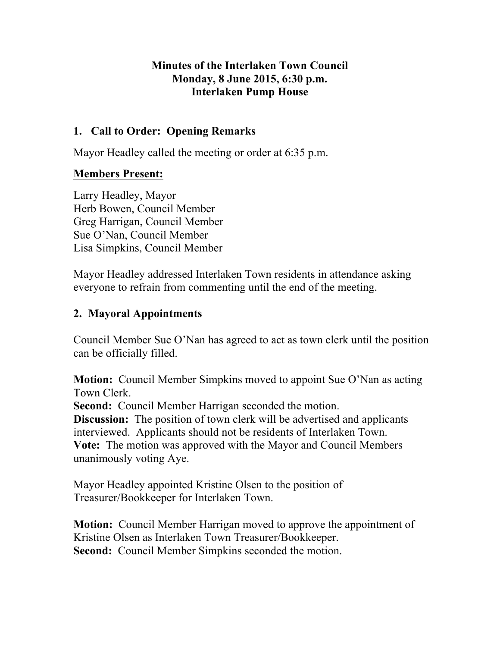#### **Minutes of the Interlaken Town Council Monday, 8 June 2015, 6:30 p.m. Interlaken Pump House**

### **1. Call to Order: Opening Remarks**

Mayor Headley called the meeting or order at 6:35 p.m.

# **Members Present:**

Larry Headley, Mayor Herb Bowen, Council Member Greg Harrigan, Council Member Sue O'Nan, Council Member Lisa Simpkins, Council Member

Mayor Headley addressed Interlaken Town residents in attendance asking everyone to refrain from commenting until the end of the meeting.

# **2. Mayoral Appointments**

Council Member Sue O'Nan has agreed to act as town clerk until the position can be officially filled.

**Motion:** Council Member Simpkins moved to appoint Sue O'Nan as acting Town Clerk.

**Second:** Council Member Harrigan seconded the motion.

**Discussion:** The position of town clerk will be advertised and applicants interviewed. Applicants should not be residents of Interlaken Town. **Vote:** The motion was approved with the Mayor and Council Members unanimously voting Aye.

Mayor Headley appointed Kristine Olsen to the position of Treasurer/Bookkeeper for Interlaken Town.

**Motion:** Council Member Harrigan moved to approve the appointment of Kristine Olsen as Interlaken Town Treasurer/Bookkeeper. **Second:** Council Member Simpkins seconded the motion.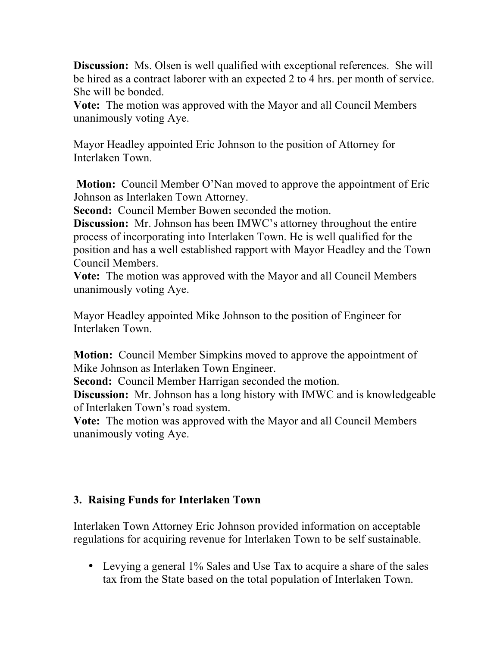**Discussion:** Ms. Olsen is well qualified with exceptional references. She will be hired as a contract laborer with an expected 2 to 4 hrs. per month of service. She will be bonded.

**Vote:** The motion was approved with the Mayor and all Council Members unanimously voting Aye.

Mayor Headley appointed Eric Johnson to the position of Attorney for Interlaken Town.

**Motion:** Council Member O'Nan moved to approve the appointment of Eric Johnson as Interlaken Town Attorney.

**Second:** Council Member Bowen seconded the motion.

**Discussion:** Mr. Johnson has been IMWC's attorney throughout the entire process of incorporating into Interlaken Town. He is well qualified for the position and has a well established rapport with Mayor Headley and the Town Council Members.

**Vote:** The motion was approved with the Mayor and all Council Members unanimously voting Aye.

Mayor Headley appointed Mike Johnson to the position of Engineer for Interlaken Town.

**Motion:** Council Member Simpkins moved to approve the appointment of Mike Johnson as Interlaken Town Engineer.

**Second:** Council Member Harrigan seconded the motion.

**Discussion:** Mr. Johnson has a long history with IMWC and is knowledgeable of Interlaken Town's road system.

**Vote:** The motion was approved with the Mayor and all Council Members unanimously voting Aye.

### **3. Raising Funds for Interlaken Town**

Interlaken Town Attorney Eric Johnson provided information on acceptable regulations for acquiring revenue for Interlaken Town to be self sustainable.

• Levying a general 1% Sales and Use Tax to acquire a share of the sales tax from the State based on the total population of Interlaken Town.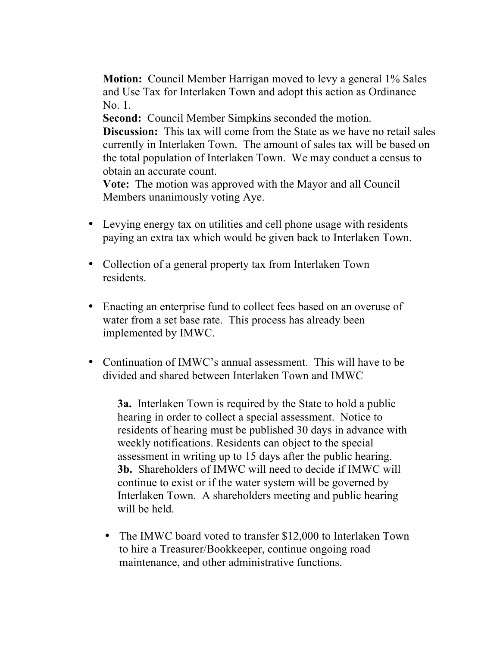**Motion:** Council Member Harrigan moved to levy a general 1% Sales and Use Tax for Interlaken Town and adopt this action as Ordinance No. 1.

**Second:** Council Member Simpkins seconded the motion. **Discussion:** This tax will come from the State as we have no retail sales currently in Interlaken Town. The amount of sales tax will be based on the total population of Interlaken Town. We may conduct a census to obtain an accurate count.

**Vote:** The motion was approved with the Mayor and all Council Members unanimously voting Aye.

- Levying energy tax on utilities and cell phone usage with residents paying an extra tax which would be given back to Interlaken Town.
- Collection of a general property tax from Interlaken Town residents.
- Enacting an enterprise fund to collect fees based on an overuse of water from a set base rate. This process has already been implemented by IMWC.
- Continuation of IMWC's annual assessment. This will have to be divided and shared between Interlaken Town and IMWC

**3a.** Interlaken Town is required by the State to hold a public hearing in order to collect a special assessment. Notice to residents of hearing must be published 30 days in advance with weekly notifications. Residents can object to the special assessment in writing up to 15 days after the public hearing. **3b.** Shareholders of IMWC will need to decide if IMWC will continue to exist or if the water system will be governed by Interlaken Town. A shareholders meeting and public hearing will be held.

• The IMWC board voted to transfer \$12,000 to Interlaken Town to hire a Treasurer/Bookkeeper, continue ongoing road maintenance, and other administrative functions.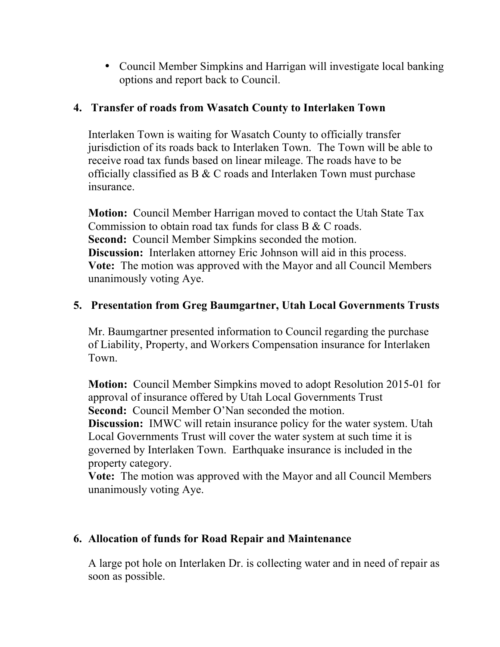• Council Member Simpkins and Harrigan will investigate local banking options and report back to Council.

#### **4. Transfer of roads from Wasatch County to Interlaken Town**

Interlaken Town is waiting for Wasatch County to officially transfer jurisdiction of its roads back to Interlaken Town. The Town will be able to receive road tax funds based on linear mileage. The roads have to be officially classified as B & C roads and Interlaken Town must purchase insurance.

**Motion:** Council Member Harrigan moved to contact the Utah State Tax Commission to obtain road tax funds for class  $B & C$  roads. **Second:** Council Member Simpkins seconded the motion. **Discussion:** Interlaken attorney Eric Johnson will aid in this process. **Vote:** The motion was approved with the Mayor and all Council Members unanimously voting Aye.

### **5. Presentation from Greg Baumgartner, Utah Local Governments Trusts**

Mr. Baumgartner presented information to Council regarding the purchase of Liability, Property, and Workers Compensation insurance for Interlaken Town.

**Motion:** Council Member Simpkins moved to adopt Resolution 2015-01 for approval of insurance offered by Utah Local Governments Trust **Second:** Council Member O'Nan seconded the motion.

**Discussion:** IMWC will retain insurance policy for the water system. Utah Local Governments Trust will cover the water system at such time it is governed by Interlaken Town. Earthquake insurance is included in the property category.

**Vote:** The motion was approved with the Mayor and all Council Members unanimously voting Aye.

### **6. Allocation of funds for Road Repair and Maintenance**

A large pot hole on Interlaken Dr. is collecting water and in need of repair as soon as possible.